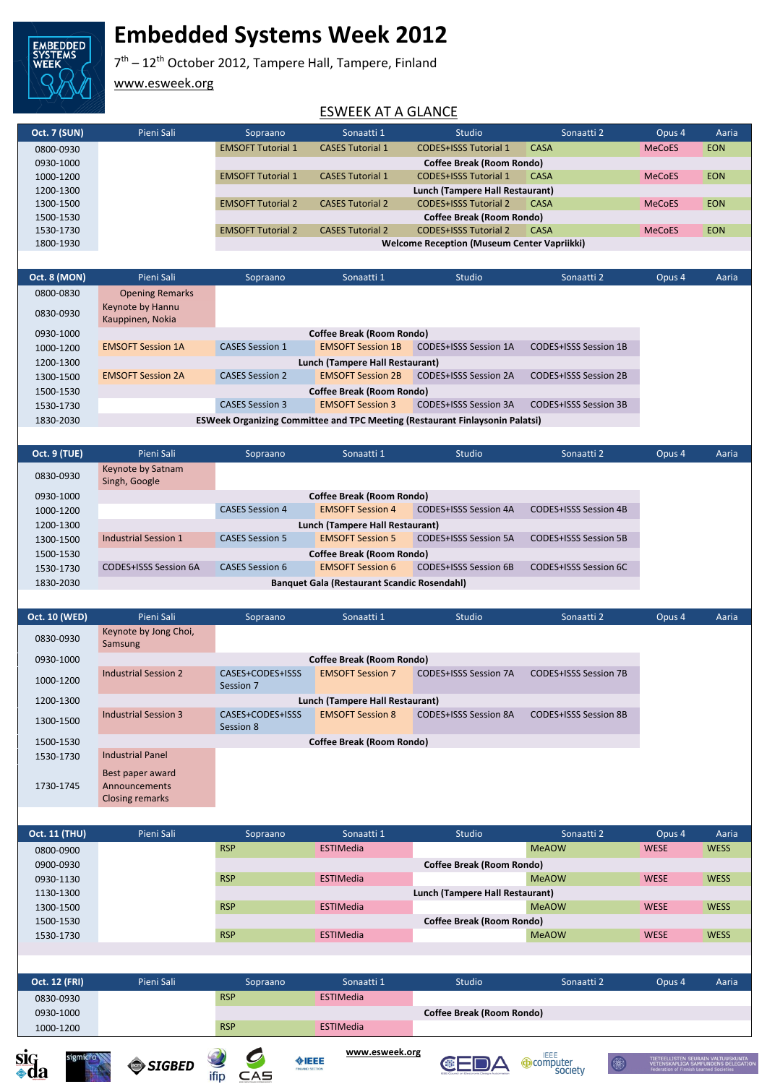

# **Embedded Systems Week 2012**

7<sup>th</sup> – 12<sup>th</sup> October 2012, Tampere Hall, Tampere, Finland

www.esweek.org

#### ESWEEK AT A GLANCE

| <b>Oct. 7 (SUN)</b> | Pieni Sali | Sopraano                 | Sonaatti 1              | Studio                                             | Sonaatti 2 | Opus <sub>4</sub> | Aaria      |
|---------------------|------------|--------------------------|-------------------------|----------------------------------------------------|------------|-------------------|------------|
| 0800-0930           |            | <b>EMSOFT Tutorial 1</b> | <b>CASES Tutorial 1</b> | <b>CODES+ISSS Tutorial 1</b>                       | CASA       | <b>MeCoES</b>     | <b>EON</b> |
| 0930-1000           |            |                          |                         | Coffee Break (Room Rondo)                          |            |                   |            |
| 1000-1200           |            | <b>EMSOFT Tutorial 1</b> | <b>CASES Tutorial 1</b> | <b>CODES+ISSS Tutorial 1</b>                       | CASA       | <b>MeCoES</b>     | <b>EON</b> |
| 1200-1300           |            |                          |                         | Lunch (Tampere Hall Restaurant)                    |            |                   |            |
| 1300-1500           |            | <b>EMSOFT Tutorial 2</b> | <b>CASES Tutorial 2</b> | <b>CODES+ISSS Tutorial 2</b>                       | CASA       | <b>MeCoES</b>     | <b>EON</b> |
| 1500-1530           |            |                          |                         | Coffee Break (Room Rondo)                          |            |                   |            |
| 1530-1730           |            | <b>EMSOFT Tutorial 2</b> | <b>CASES Tutorial 2</b> | <b>CODES+ISSS Tutorial 2</b>                       | CASA       | <b>MeCoES</b>     | <b>EON</b> |
| 1800-1930           |            |                          |                         | <b>Welcome Reception (Museum Center Vapriikki)</b> |            |                   |            |
|                     |            |                          |                         |                                                    |            |                   |            |

| <b>Opening Remarks</b><br>0800-0830                                                                                  |                                                                                     |  |  |  |  |  |  |
|----------------------------------------------------------------------------------------------------------------------|-------------------------------------------------------------------------------------|--|--|--|--|--|--|
| Keynote by Hannu<br>0830-0930<br>Kauppinen, Nokia                                                                    |                                                                                     |  |  |  |  |  |  |
| <b>Coffee Break (Room Rondo)</b><br>0930-1000                                                                        |                                                                                     |  |  |  |  |  |  |
| <b>CASES Session 1</b><br><b>EMSOFT Session 1A</b><br><b>EMSOFT Session 1B</b><br>CODES+ISSS Session 1A<br>1000-1200 | CODES+ISSS Session 1B                                                               |  |  |  |  |  |  |
| Lunch (Tampere Hall Restaurant)<br>1200-1300                                                                         |                                                                                     |  |  |  |  |  |  |
| <b>CASES Session 2</b><br>CODES+ISSS Session 2A<br><b>EMSOFT Session 2A</b><br><b>EMSOFT Session 2B</b><br>1300-1500 | <b>CODES+ISSS Session 2B</b>                                                        |  |  |  |  |  |  |
| <b>Coffee Break (Room Rondo)</b><br>1500-1530                                                                        |                                                                                     |  |  |  |  |  |  |
| <b>CASES Session 3</b><br>CODES+ISSS Session 3A<br><b>EMSOFT Session 3</b><br>1530-1730                              | CODES+ISSS Session 3B                                                               |  |  |  |  |  |  |
| 1830-2030                                                                                                            | <b>ESWeek Organizing Committee and TPC Meeting (Restaurant Finlaysonin Palatsi)</b> |  |  |  |  |  |  |

| <b>Oct. 9 (TUE)</b> | Pieni Sali                                         | Sopraano               | Sonaatti 1                       | <b>Studio</b>                | Sonaatti 2                   | Opus 4 | Aaria |
|---------------------|----------------------------------------------------|------------------------|----------------------------------|------------------------------|------------------------------|--------|-------|
| 0830-0930           | Keynote by Satnam<br>Singh, Google                 |                        |                                  |                              |                              |        |       |
| 0930-1000           |                                                    |                        | <b>Coffee Break (Room Rondo)</b> |                              |                              |        |       |
| 1000-1200           |                                                    | <b>CASES Session 4</b> | <b>EMSOFT Session 4</b>          | CODES+ISSS Session 4A        | CODES+ISSS Session 4B        |        |       |
| 1200-1300           | Lunch (Tampere Hall Restaurant)                    |                        |                                  |                              |                              |        |       |
| 1300-1500           | <b>Industrial Session 1</b>                        | <b>CASES Session 5</b> | <b>EMSOFT Session 5</b>          | <b>CODES+ISSS Session 5A</b> | <b>CODES+ISSS Session 5B</b> |        |       |
| 1500-1530           | <b>Coffee Break (Room Rondo)</b>                   |                        |                                  |                              |                              |        |       |
| 1530-1730           | CODES+ISSS Session 6A                              | CASES Session 6        | <b>EMSOFT Session 6</b>          | CODES+ISSS Session 6B        | CODES+ISSS Session 6C        |        |       |
| 1830-2030           | <b>Banquet Gala (Restaurant Scandic Rosendahl)</b> |                        |                                  |                              |                              |        |       |
|                     |                                                    |                        |                                  |                              |                              |        |       |

| <b>Oct. 10 (WED)</b> | Pieni Sali                                                  | Sopraano                      | Sonaatti 1                       | Studio                       | Sonaatti 2                   | Opus 4 | Aaria |
|----------------------|-------------------------------------------------------------|-------------------------------|----------------------------------|------------------------------|------------------------------|--------|-------|
| 0830-0930            | Keynote by Jong Choi,<br>Samsung                            |                               |                                  |                              |                              |        |       |
| 0930-1000            |                                                             |                               | <b>Coffee Break (Room Rondo)</b> |                              |                              |        |       |
| 1000-1200            | <b>Industrial Session 2</b>                                 | CASES+CODES+ISSS<br>Session 7 | <b>EMSOFT Session 7</b>          | <b>CODES+ISSS Session 7A</b> | <b>CODES+ISSS Session 7B</b> |        |       |
| 1200-1300            | Lunch (Tampere Hall Restaurant)                             |                               |                                  |                              |                              |        |       |
| 1300-1500            | <b>Industrial Session 3</b>                                 | CASES+CODES+ISSS<br>Session 8 | <b>EMSOFT Session 8</b>          | CODES+ISSS Session 8A        | <b>CODES+ISSS Session 8B</b> |        |       |
| 1500-1530            |                                                             |                               | <b>Coffee Break (Room Rondo)</b> |                              |                              |        |       |
| 1530-1730            | <b>Industrial Panel</b>                                     |                               |                                  |                              |                              |        |       |
| 1730-1745            | Best paper award<br>Announcements<br><b>Closing remarks</b> |                               |                                  |                              |                              |        |       |

| <b>Oct. 11 (THU)</b> | Pieni Sali | Sopraano   | Sonaatti 1       | Studio                           | Sonaatti 2   | Opus <sub>4</sub> | Aaria       |
|----------------------|------------|------------|------------------|----------------------------------|--------------|-------------------|-------------|
| 0800-0900            |            | <b>RSP</b> | <b>ESTIMedia</b> |                                  | <b>MeAOW</b> | <b>WESE</b>       | <b>WESS</b> |
| 0900-0930            |            |            |                  | <b>Coffee Break (Room Rondo)</b> |              |                   |             |
| 0930-1130            |            | <b>RSP</b> | <b>ESTIMedia</b> |                                  | <b>MeAOW</b> | <b>WESE</b>       | <b>WESS</b> |
| 1130-1300            |            |            |                  | Lunch (Tampere Hall Restaurant)  |              |                   |             |
| 1300-1500            |            | <b>RSP</b> | <b>ESTIMedia</b> |                                  | <b>MeAOW</b> | <b>WESE</b>       | <b>WESS</b> |
| 1500-1530            |            |            |                  | <b>Coffee Break (Room Rondo)</b> |              |                   |             |
| 1530-1730            |            | <b>RSP</b> | <b>ESTIMedia</b> |                                  | <b>MeAOW</b> | <b>WESE</b>       | <b>WESS</b> |
|                      |            |            |                  |                                  |              |                   |             |

| <b>Oct. 12 (FRI)</b> | Pieni Sali | Sopraano   | Sonaatti 1       | <b>Studio</b>                    | Sonaatti 2 | Opus <sub>4</sub> | Aaria |
|----------------------|------------|------------|------------------|----------------------------------|------------|-------------------|-------|
| 0830-0930            |            | <b>RSP</b> | <b>ESTIMedia</b> |                                  |            |                   |       |
| 0930-1000            |            |            |                  | <b>Coffee Break (Room Rondo)</b> |            |                   |       |
| 1000-1200            |            | <b>RSP</b> | <b>ESTIMedia</b> |                                  |            |                   |       |
|                      |            |            |                  |                                  |            |                   |       |







**www.esweek.org**

**CEDA OCOMPUTER** 

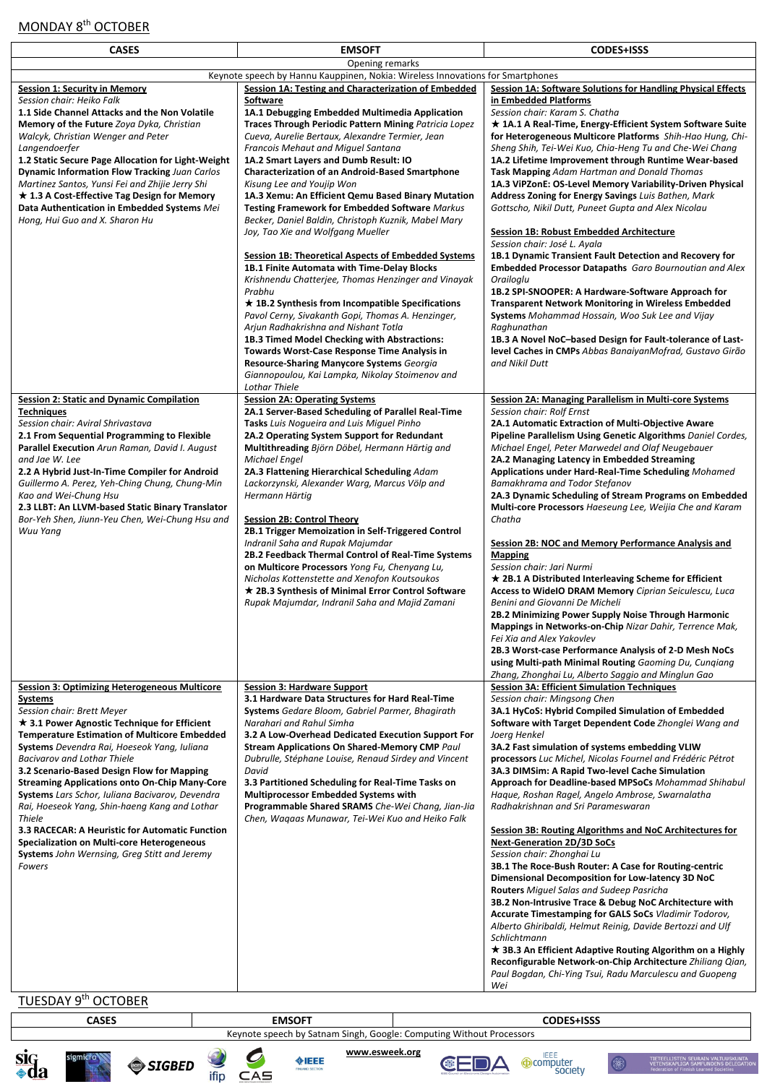# MONDAY 8<sup>th</sup> OCTOBER

| <b>CASES</b>                                                                                                                                                                                                                                                                                                                                                                                                                                                                                                                                                                                                                                                                                                       | <b>EMSOFT</b>                                                                                                                                                                                                                                                                                                                                                                                                                                                                                                                                                                                                                                                                                                                                                                                                                                                                                                                                                                                                                                                                                                                                                                               | <b>CODES+ISSS</b>                                                                                                                                                                                                                                                                                                                                                                                                                                                                                                                                                                                                                                                                                                                                                                                                                                                                                                                                                                                                                                                                                                                                                                                                                    |
|--------------------------------------------------------------------------------------------------------------------------------------------------------------------------------------------------------------------------------------------------------------------------------------------------------------------------------------------------------------------------------------------------------------------------------------------------------------------------------------------------------------------------------------------------------------------------------------------------------------------------------------------------------------------------------------------------------------------|---------------------------------------------------------------------------------------------------------------------------------------------------------------------------------------------------------------------------------------------------------------------------------------------------------------------------------------------------------------------------------------------------------------------------------------------------------------------------------------------------------------------------------------------------------------------------------------------------------------------------------------------------------------------------------------------------------------------------------------------------------------------------------------------------------------------------------------------------------------------------------------------------------------------------------------------------------------------------------------------------------------------------------------------------------------------------------------------------------------------------------------------------------------------------------------------|--------------------------------------------------------------------------------------------------------------------------------------------------------------------------------------------------------------------------------------------------------------------------------------------------------------------------------------------------------------------------------------------------------------------------------------------------------------------------------------------------------------------------------------------------------------------------------------------------------------------------------------------------------------------------------------------------------------------------------------------------------------------------------------------------------------------------------------------------------------------------------------------------------------------------------------------------------------------------------------------------------------------------------------------------------------------------------------------------------------------------------------------------------------------------------------------------------------------------------------|
|                                                                                                                                                                                                                                                                                                                                                                                                                                                                                                                                                                                                                                                                                                                    | Opening remarks                                                                                                                                                                                                                                                                                                                                                                                                                                                                                                                                                                                                                                                                                                                                                                                                                                                                                                                                                                                                                                                                                                                                                                             |                                                                                                                                                                                                                                                                                                                                                                                                                                                                                                                                                                                                                                                                                                                                                                                                                                                                                                                                                                                                                                                                                                                                                                                                                                      |
|                                                                                                                                                                                                                                                                                                                                                                                                                                                                                                                                                                                                                                                                                                                    | Keynote speech by Hannu Kauppinen, Nokia: Wireless Innovations for Smartphones                                                                                                                                                                                                                                                                                                                                                                                                                                                                                                                                                                                                                                                                                                                                                                                                                                                                                                                                                                                                                                                                                                              |                                                                                                                                                                                                                                                                                                                                                                                                                                                                                                                                                                                                                                                                                                                                                                                                                                                                                                                                                                                                                                                                                                                                                                                                                                      |
| <b>Session 1: Security in Memory</b><br>Session chair: Heiko Falk<br>1.1 Side Channel Attacks and the Non Volatile<br>Memory of the Future Zoya Dyka, Christian<br>Walcyk, Christian Wenger and Peter<br>Langendoerfer<br>1.2 Static Secure Page Allocation for Light-Weight<br><b>Dynamic Information Flow Tracking Juan Carlos</b><br>Martinez Santos, Yunsi Fei and Zhijie Jerry Shi<br>$\star$ 1.3 A Cost-Effective Tag Design for Memory<br>Data Authentication in Embedded Systems Mei<br>Hong, Hui Guo and X. Sharon Hu                                                                                                                                                                                     | Session 1A: Testing and Characterization of Embedded<br>Software<br>1A.1 Debugging Embedded Multimedia Application<br><b>Traces Through Periodic Pattern Mining Patricia Lopez</b><br>Cueva, Aurelie Bertaux, Alexandre Termier, Jean<br><b>Francois Mehaut and Miguel Santana</b><br>1A.2 Smart Layers and Dumb Result: IO<br><b>Characterization of an Android-Based Smartphone</b><br>Kisung Lee and Youjip Won<br>1A.3 Xemu: An Efficient Qemu Based Binary Mutation<br>Testing Framework for Embedded Software Markus<br>Becker, Daniel Baldin, Christoph Kuznik, Mabel Mary<br>Joy, Tao Xie and Wolfgang Mueller<br><b>Session 1B: Theoretical Aspects of Embedded Systems</b><br>1B.1 Finite Automata with Time-Delay Blocks<br>Krishnendu Chatterjee, Thomas Henzinger and Vinayak<br>Prabhu<br>$\star$ 1B.2 Synthesis from Incompatible Specifications<br>Pavol Cerny, Sivakanth Gopi, Thomas A. Henzinger,<br>Arjun Radhakrishna and Nishant Totla<br>1B.3 Timed Model Checking with Abstractions:<br><b>Towards Worst-Case Response Time Analysis in</b><br><b>Resource-Sharing Manycore Systems Georgia</b><br>Giannopoulou, Kai Lampka, Nikolay Stoimenov and<br>Lothar Thiele | <b>Session 1A: Software Solutions for Handling Physical Effects</b><br>in Embedded Platforms<br>Session chair: Karam S. Chatha<br>★ 1A.1 A Real-Time, Energy-Efficient System Software Suite<br>for Heterogeneous Multicore Platforms Shih-Hao Hung, Chi-<br>Sheng Shih, Tei-Wei Kuo, Chia-Heng Tu and Che-Wei Chang<br>1A.2 Lifetime Improvement through Runtime Wear-based<br>Task Mapping Adam Hartman and Donald Thomas<br>1A.3 ViPZonE: OS-Level Memory Variability-Driven Physical<br><b>Address Zoning for Energy Savings</b> Luis Bathen, Mark<br>Gottscho, Nikil Dutt, Puneet Gupta and Alex Nicolau<br><b>Session 1B: Robust Embedded Architecture</b><br>Session chair: José L. Ayala<br>1B.1 Dynamic Transient Fault Detection and Recovery for<br><b>Embedded Processor Datapaths</b> Garo Bournoutian and Alex<br>Orailoglu<br>1B.2 SPI-SNOOPER: A Hardware-Software Approach for<br><b>Transparent Network Monitoring in Wireless Embedded</b><br><b>Systems</b> Mohammad Hossain, Woo Suk Lee and Vijay<br>Raghunathan<br>1B.3 A Novel NoC-based Design for Fault-tolerance of Last-<br>level Caches in CMPs Abbas BanaiyanMofrad, Gustavo Girão<br>and Nikil Dutt                                                   |
| <b>Session 2: Static and Dynamic Compilation</b><br><b>Techniques</b><br>Session chair: Aviral Shrivastava<br>2.1 From Sequential Programming to Flexible<br>Parallel Execution Arun Raman, David I. August<br>and Jae W. Lee<br>2.2 A Hybrid Just-In-Time Compiler for Android<br>Guillermo A. Perez, Yeh-Ching Chung, Chung-Min<br>Kao and Wei-Chung Hsu<br>2.3 LLBT: An LLVM-based Static Binary Translator<br>Bor-Yeh Shen, Jiunn-Yeu Chen, Wei-Chung Hsu and<br>Wuu Yang                                                                                                                                                                                                                                      | <b>Session 2A: Operating Systems</b><br>2A.1 Server-Based Scheduling of Parallel Real-Time<br>Tasks Luis Noqueira and Luis Miquel Pinho<br>2A.2 Operating System Support for Redundant<br>Multithreading Björn Döbel, Hermann Härtig and<br>Michael Engel<br>2A.3 Flattening Hierarchical Scheduling Adam<br>Lackorzynski, Alexander Warg, Marcus Völp and<br>Hermann Härtig<br><b>Session 2B: Control Theory</b><br>2B.1 Trigger Memoization in Self-Triggered Control<br>Indranil Saha and Rupak Majumdar<br>2B.2 Feedback Thermal Control of Real-Time Systems<br>on Multicore Processors Yong Fu, Chenyang Lu,<br>Nicholas Kottenstette and Xenofon Koutsoukos<br>$\star$ 2B.3 Synthesis of Minimal Error Control Software<br>Rupak Majumdar, Indranil Saha and Majid Zamani                                                                                                                                                                                                                                                                                                                                                                                                            | Session 2A: Managing Parallelism in Multi-core Systems<br>Session chair: Rolf Ernst<br>2A.1 Automatic Extraction of Multi-Objective Aware<br>Pipeline Parallelism Using Genetic Algorithms Daniel Cordes,<br>Michael Engel, Peter Marwedel and Olaf Neugebauer<br>2A.2 Managing Latency in Embedded Streaming<br>Applications under Hard-Real-Time Scheduling Mohamed<br>Bamakhrama and Todor Stefanov<br>2A.3 Dynamic Scheduling of Stream Programs on Embedded<br>Multi-core Processors Haeseung Lee, Weijia Che and Karam<br>Chatha<br>Session 2B: NOC and Memory Performance Analysis and<br><b>Mapping</b><br>Session chair: Jari Nurmi<br>★ 2B.1 A Distributed Interleaving Scheme for Efficient<br><b>Access to WideIO DRAM Memory</b> Ciprian Seiculescu, Luca<br>Benini and Giovanni De Micheli<br>2B.2 Minimizing Power Supply Noise Through Harmonic<br>Mappings in Networks-on-Chip Nizar Dahir, Terrence Mak,<br>Fei Xia and Alex Yakovlev<br>2B.3 Worst-case Performance Analysis of 2-D Mesh NoCs<br>using Multi-path Minimal Routing Gaoming Du, Cungiang<br>Zhang, Zhonghai Lu, Alberto Saggio and Minglun Gao                                                                                                      |
| <b>Session 3: Optimizing Heterogeneous Multicore</b><br><b>Systems</b><br>Session chair: Brett Meyer<br>* 3.1 Power Agnostic Technique for Efficient<br><b>Temperature Estimation of Multicore Embedded</b><br><b>Systems</b> Devendra Rai, Hoeseok Yang, Iuliana<br><b>Bacivarov and Lothar Thiele</b><br>3.2 Scenario-Based Design Flow for Mapping<br><b>Streaming Applications onto On-Chip Many-Core</b><br><b>Systems</b> Lars Schor, Iuliana Bacivarov, Devendra<br>Rai, Hoeseok Yang, Shin-haeng Kang and Lothar<br><b>Thiele</b><br>3.3 RACECAR: A Heuristic for Automatic Function<br>Specialization on Multi-core Heterogeneous<br><b>Systems</b> John Wernsing, Greg Stitt and Jeremy<br><b>Fowers</b> | <b>Session 3: Hardware Support</b><br>3.1 Hardware Data Structures for Hard Real-Time<br><b>Systems</b> Gedare Bloom, Gabriel Parmer, Bhagirath<br>Narahari and Rahul Simha<br>3.2 A Low-Overhead Dedicated Execution Support For<br><b>Stream Applications On Shared-Memory CMP Paul</b><br>Dubrulle, Stéphane Louise, Renaud Sirdey and Vincent<br>David<br>3.3 Partitioned Scheduling for Real-Time Tasks on<br><b>Multiprocessor Embedded Systems with</b><br>Programmable Shared SRAMS Che-Wei Chang, Jian-Jia<br>Chen, Waqaas Munawar, Tei-Wei Kuo and Heiko Falk                                                                                                                                                                                                                                                                                                                                                                                                                                                                                                                                                                                                                     | <b>Session 3A: Efficient Simulation Techniques</b><br>Session chair: Mingsong Chen<br>3A.1 HyCoS: Hybrid Compiled Simulation of Embedded<br>Software with Target Dependent Code Zhonglei Wang and<br>Joerg Henkel<br>3A.2 Fast simulation of systems embedding VLIW<br>processors Luc Michel, Nicolas Fournel and Frédéric Pétrot<br>3A.3 DIMSim: A Rapid Two-level Cache Simulation<br>Approach for Deadline-based MPSoCs Mohammad Shihabul<br>Haque, Roshan Ragel, Angelo Ambrose, Swarnalatha<br>Radhakrishnan and Sri Parameswaran<br>Session 3B: Routing Algorithms and NoC Architectures for<br><b>Next-Generation 2D/3D SoCs</b><br>Session chair: Zhonghai Lu<br>3B.1 The Roce-Bush Router: A Case for Routing-centric<br>Dimensional Decomposition for Low-latency 3D NoC<br><b>Routers</b> Miguel Salas and Sudeep Pasricha<br>3B.2 Non-Intrusive Trace & Debug NoC Architecture with<br>Accurate Timestamping for GALS SoCs Vladimir Todorov,<br>Alberto Ghiribaldi, Helmut Reinig, Davide Bertozzi and Ulf<br>Schlichtmann<br>* 3B.3 An Efficient Adaptive Routing Algorithm on a Highly<br>Reconfigurable Network-on-Chip Architecture Zhiliang Qian,<br>Paul Bogdan, Chi-Ying Tsui, Radu Marculescu and Guopeng<br>Wei |

## TUESDAY 9<sup>th</sup> OCTOBER









**www.esweek.org**





TIETEELLISTEN SEURAIN VALTUUSKUNTA<br>VETENSKAPLIGA SAMFUNDENS DELEGATIOI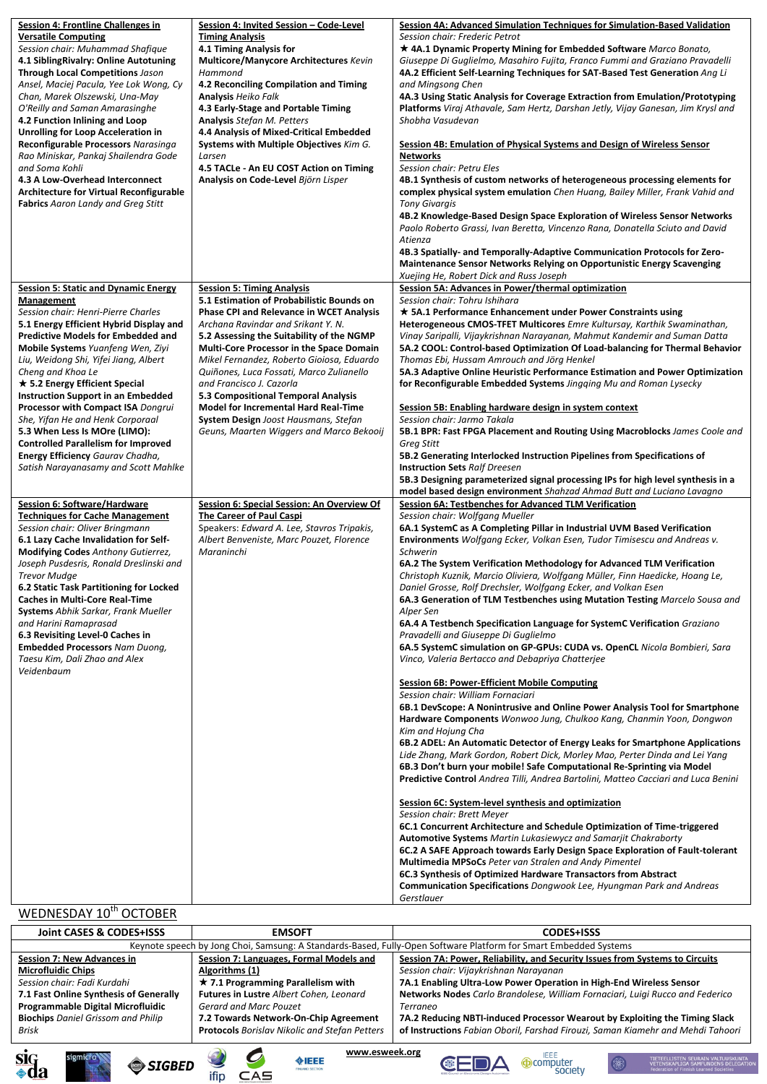| <b>Session 4: Frontline Challenges in</b>                                                   | Session 4: Invited Session - Code-Level                                        | Session 4A: Advanced Simulation Techniques for Simulation-Based Validation                                                                                        |
|---------------------------------------------------------------------------------------------|--------------------------------------------------------------------------------|-------------------------------------------------------------------------------------------------------------------------------------------------------------------|
| <b>Versatile Computing</b>                                                                  | <b>Timing Analysis</b>                                                         | Session chair: Frederic Petrot                                                                                                                                    |
| Session chair: Muhammad Shafique                                                            | 4.1 Timing Analysis for                                                        | * 4A.1 Dynamic Property Mining for Embedded Software Marco Bonato,                                                                                                |
| 4.1 Sibling Rivalry: Online Autotuning                                                      | <b>Multicore/Manycore Architectures Kevin</b>                                  | Giuseppe Di Guglielmo, Masahiro Fujita, Franco Fummi and Graziano Pravadelli                                                                                      |
| <b>Through Local Competitions Jason</b>                                                     | Hammond                                                                        | 4A.2 Efficient Self-Learning Techniques for SAT-Based Test Generation Ang Li                                                                                      |
| Ansel, Maciej Pacula, Yee Lok Wong, Cy                                                      | 4.2 Reconciling Compilation and Timing                                         | and Mingsong Chen                                                                                                                                                 |
| Chan, Marek Olszewski, Una-May<br>O'Reilly and Saman Amarasinghe                            | <b>Analysis Heiko Falk</b>                                                     | 4A.3 Using Static Analysis for Coverage Extraction from Emulation/Prototyping<br>Platforms Viraj Athavale, Sam Hertz, Darshan Jetly, Vijay Ganesan, Jim Krysl and |
| 4.2 Function Inlining and Loop                                                              | 4.3 Early-Stage and Portable Timing<br><b>Analysis Stefan M. Petters</b>       | Shobha Vasudevan                                                                                                                                                  |
| <b>Unrolling for Loop Acceleration in</b>                                                   | 4.4 Analysis of Mixed-Critical Embedded                                        |                                                                                                                                                                   |
| Reconfigurable Processors Narasinga                                                         | Systems with Multiple Objectives Kim G.                                        | Session 4B: Emulation of Physical Systems and Design of Wireless Sensor                                                                                           |
| Rao Miniskar, Pankaj Shailendra Gode                                                        | Larsen                                                                         | <b>Networks</b>                                                                                                                                                   |
| and Soma Kohli                                                                              | 4.5 TACLe - An EU COST Action on Timing                                        | <b>Session chair: Petru Eles</b>                                                                                                                                  |
| 4.3 A Low-Overhead Interconnect                                                             | Analysis on Code-Level Björn Lisper                                            | 4B.1 Synthesis of custom networks of heterogeneous processing elements for                                                                                        |
| <b>Architecture for Virtual Reconfigurable</b><br><b>Fabrics</b> Aaron Landy and Greg Stitt |                                                                                | complex physical system emulation Chen Huang, Bailey Miller, Frank Vahid and<br><b>Tony Givargis</b>                                                              |
|                                                                                             |                                                                                | 4B.2 Knowledge-Based Design Space Exploration of Wireless Sensor Networks                                                                                         |
|                                                                                             |                                                                                | Paolo Roberto Grassi, Ivan Beretta, Vincenzo Rana, Donatella Sciuto and David                                                                                     |
|                                                                                             |                                                                                | Atienza                                                                                                                                                           |
|                                                                                             |                                                                                | 4B.3 Spatially- and Temporally-Adaptive Communication Protocols for Zero-                                                                                         |
|                                                                                             |                                                                                | <b>Maintenance Sensor Networks Relying on Opportunistic Energy Scavenging</b>                                                                                     |
|                                                                                             |                                                                                | Xuejing He, Robert Dick and Russ Joseph                                                                                                                           |
| <b>Session 5: Static and Dynamic Energy</b><br>Management                                   | <b>Session 5: Timing Analysis</b><br>5.1 Estimation of Probabilistic Bounds on | Session 5A: Advances in Power/thermal optimization<br>Session chair: Tohru Ishihara                                                                               |
| Session chair: Henri-Pierre Charles                                                         | <b>Phase CPI and Relevance in WCET Analysis</b>                                | ★ 5A.1 Performance Enhancement under Power Constraints using                                                                                                      |
| 5.1 Energy Efficient Hybrid Display and                                                     | Archana Ravindar and Srikant Y. N.                                             | Heterogeneous CMOS-TFET Multicores Emre Kultursay, Karthik Swaminathan,                                                                                           |
| <b>Predictive Models for Embedded and</b>                                                   | 5.2 Assessing the Suitability of the NGMP                                      | Vinay Saripalli, Vijaykrishnan Narayanan, Mahmut Kandemir and Suman Datta                                                                                         |
| Mobile Systems Yuanfeng Wen, Ziyi                                                           | <b>Multi-Core Processor in the Space Domain</b>                                | 5A.2 COOL: Control-based Optimization Of Load-balancing for Thermal Behavior                                                                                      |
| Liu, Weidong Shi, Yifei Jiang, Albert                                                       | Mikel Fernandez, Roberto Gioiosa, Eduardo                                      | Thomas Ebi, Hussam Amrouch and Jörg Henkel                                                                                                                        |
| Cheng and Khoa Le                                                                           | Quiñones, Luca Fossati, Marco Zulianello                                       | 5A.3 Adaptive Online Heuristic Performance Estimation and Power Optimization                                                                                      |
| $\star$ 5.2 Energy Efficient Special<br><b>Instruction Support in an Embedded</b>           | and Francisco J. Cazorla<br>5.3 Compositional Temporal Analysis                | for Reconfigurable Embedded Systems Jingging Mu and Roman Lysecky                                                                                                 |
| Processor with Compact ISA Dongrui                                                          | <b>Model for Incremental Hard Real-Time</b>                                    | Session 5B: Enabling hardware design in system context                                                                                                            |
| She, Yifan He and Henk Corporaal                                                            | <b>System Design</b> Joost Hausmans, Stefan                                    | Session chair: Jarmo Takala                                                                                                                                       |
| 5.3 When Less Is MOre (LIMO):                                                               | Geuns, Maarten Wiggers and Marco Bekooij                                       | 5B.1 BPR: Fast FPGA Placement and Routing Using Macroblocks James Coole and                                                                                       |
| <b>Controlled Parallelism for Improved</b>                                                  |                                                                                | Greg Stitt                                                                                                                                                        |
| Energy Efficiency Gaurav Chadha,                                                            |                                                                                | 5B.2 Generating Interlocked Instruction Pipelines from Specifications of                                                                                          |
| Satish Narayanasamy and Scott Mahlke                                                        |                                                                                | <b>Instruction Sets Ralf Dreesen</b><br>5B.3 Designing parameterized signal processing IPs for high level synthesis in a                                          |
|                                                                                             |                                                                                | model based design environment Shahzad Ahmad Butt and Luciano Lavagno                                                                                             |
| Session 6: Software/Hardware                                                                | Session 6: Special Session: An Overview Of                                     | Session 6A: Testbenches for Advanced TLM Verification                                                                                                             |
| <b>Techniques for Cache Management</b>                                                      | The Career of Paul Caspi                                                       | Session chair: Wolfgang Mueller                                                                                                                                   |
| Session chair: Oliver Bringmann                                                             | Speakers: Edward A. Lee, Stavros Tripakis,                                     | 6A.1 SystemC as A Completing Pillar in Industrial UVM Based Verification                                                                                          |
| 6.1 Lazy Cache Invalidation for Self-                                                       | Albert Benveniste, Marc Pouzet, Florence                                       | Environments Wolfgang Ecker, Volkan Esen, Tudor Timisescu and Andreas v.                                                                                          |
| <b>Modifying Codes Anthony Gutierrez,</b><br>Joseph Pusdesris, Ronald Dreslinski and        | Maraninchi                                                                     | Schwerin<br>6A.2 The System Verification Methodology for Advanced TLM Verification                                                                                |
| <b>Trevor Mudge</b>                                                                         |                                                                                | Christoph Kuznik, Marcio Oliviera, Wolfgang Müller, Finn Haedicke, Hoang Le,                                                                                      |
| 6.2 Static Task Partitioning for Locked                                                     |                                                                                | Daniel Grosse, Rolf Drechsler, Wolfgang Ecker, and Volkan Esen                                                                                                    |
| <b>Caches in Multi-Core Real-Time</b>                                                       |                                                                                | 6A.3 Generation of TLM Testbenches using Mutation Testing Marcelo Sousa and                                                                                       |
| <b>Systems</b> Abhik Sarkar, Frank Mueller                                                  |                                                                                | Alper Sen                                                                                                                                                         |
| and Harini Ramaprasad                                                                       |                                                                                | 6A.4 A Testbench Specification Language for SystemC Verification Graziano                                                                                         |
| 6.3 Revisiting Level-0 Caches in<br><b>Embedded Processors Nam Duong,</b>                   |                                                                                | Pravadelli and Giuseppe Di Guglielmo<br>6A.5 SystemC simulation on GP-GPUs: CUDA vs. OpenCL Nicola Bombieri, Sara                                                 |
| Taesu Kim, Dali Zhao and Alex                                                               |                                                                                | Vinco, Valeria Bertacco and Debapriya Chatterjee                                                                                                                  |
| Veidenbaum                                                                                  |                                                                                |                                                                                                                                                                   |
|                                                                                             |                                                                                | <b>Session 6B: Power-Efficient Mobile Computing</b>                                                                                                               |
|                                                                                             |                                                                                | Session chair: William Fornaciari                                                                                                                                 |
|                                                                                             |                                                                                | 6B.1 DevScope: A Nonintrusive and Online Power Analysis Tool for Smartphone                                                                                       |
|                                                                                             |                                                                                | Hardware Components Wonwoo Jung, Chulkoo Kang, Chanmin Yoon, Dongwon<br>Kim and Hojung Cha                                                                        |
|                                                                                             |                                                                                | 6B.2 ADEL: An Automatic Detector of Energy Leaks for Smartphone Applications                                                                                      |
|                                                                                             |                                                                                | Lide Zhang, Mark Gordon, Robert Dick, Morley Mao, Perter Dinda and Lei Yang                                                                                       |
|                                                                                             |                                                                                | 6B.3 Don't burn your mobile! Safe Computational Re-Sprinting via Model                                                                                            |
|                                                                                             |                                                                                | Predictive Control Andrea Tilli, Andrea Bartolini, Matteo Cacciari and Luca Benini                                                                                |
|                                                                                             |                                                                                |                                                                                                                                                                   |
|                                                                                             |                                                                                | Session 6C: System-level synthesis and optimization<br>Session chair: Brett Meyer                                                                                 |
|                                                                                             |                                                                                | 6C.1 Concurrent Architecture and Schedule Optimization of Time-triggered                                                                                          |
|                                                                                             |                                                                                | <b>Automotive Systems</b> Martin Lukasiewycz and Samarjit Chakraborty                                                                                             |
|                                                                                             |                                                                                | 6C.2 A SAFE Approach towards Early Design Space Exploration of Fault-tolerant                                                                                     |
|                                                                                             |                                                                                | Multimedia MPSoCs Peter van Stralen and Andy Pimentel                                                                                                             |
|                                                                                             |                                                                                | 6C.3 Synthesis of Optimized Hardware Transactors from Abstract                                                                                                    |
|                                                                                             |                                                                                | <b>Communication Specifications</b> Dongwook Lee, Hyungman Park and Andreas<br>Gerstlauer                                                                         |
| WEDNESDAY 10 <sup>th</sup> OCTOBER                                                          |                                                                                |                                                                                                                                                                   |
|                                                                                             |                                                                                |                                                                                                                                                                   |

| Joint CASES & CODES+ISSS                  | <b>EMSOFT</b>                                                                                                    | <b>CODES+ISSS</b>                                                               |  |  |  |
|-------------------------------------------|------------------------------------------------------------------------------------------------------------------|---------------------------------------------------------------------------------|--|--|--|
|                                           | Keynote speech by Jong Choi, Samsung: A Standards-Based, Fully-Open Software Platform for Smart Embedded Systems |                                                                                 |  |  |  |
| <b>Session 7: New Advances in</b>         | Session 7: Languages, Formal Models and                                                                          | Session 7A: Power, Reliability, and Security Issues from Systems to Circuits    |  |  |  |
| <b>Microfluidic Chips</b>                 | Algorithms (1)                                                                                                   | Session chair: Vijaykrishnan Narayanan                                          |  |  |  |
| Session chair: Fadi Kurdahi               | $\star$ 7.1 Programming Parallelism with                                                                         | 7A.1 Enabling Ultra-Low Power Operation in High-End Wireless Sensor             |  |  |  |
| 7.1 Fast Online Synthesis of Generally    | Futures in Lustre Albert Cohen, Leonard                                                                          | Networks Nodes Carlo Brandolese, William Fornaciari, Luigi Rucco and Federico   |  |  |  |
| Programmable Digital Microfluidic         | <b>Gerard and Marc Pouzet</b>                                                                                    | <b>Terraneo</b>                                                                 |  |  |  |
| <b>Biochips</b> Daniel Grissom and Philip | 7.2 Towards Network-On-Chip Agreement                                                                            | 7A.2 Reducing NBTI-induced Processor Wearout by Exploiting the Timing Slack     |  |  |  |
| Brisk                                     | <b>Protocols</b> Borislav Nikolic and Stefan Petters                                                             | of Instructions Fabian Oboril, Farshad Firouzi, Saman Kiamehr and Mehdi Tahoori |  |  |  |
|                                           |                                                                                                                  |                                                                                 |  |  |  |







**www.esweek.org**





TIETEELLISTEN SEURAIN VALTUUSKUNTA<br>VETENSKAPLIGA SAMFUNDENS DELEGATION<br>Federation of Finnish Learned Societies